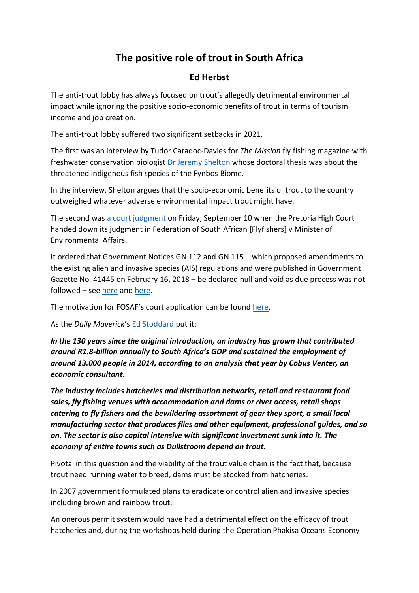# **The positive role of trout in South Africa**

# **Ed Herbst**

The anti-trout lobby has always focused on trout's allegedly detrimental environmental impact while ignoring the positive socio-economic benefits of trout in terms of tourism income and job creation.

The anti-trout lobby suffered two significant setbacks in 2021.

The first was an interview by Tudor Caradoc-Davies for *The Mission* fly fishing magazine with freshwater conservation biologist [Dr Jeremy Shelton](https://issuu.com/themissionflymagazine/docs/the_mission_issue_29_web/s/13277196) whose doctoral thesis was about the threatened indigenous fish species of the Fynbos Biome.

In the interview, Shelton argues that the socio-economic benefits of trout to the country outweighed whatever adverse environmental impact trout might have.

The second was [a court judgment](http://www.saflii.org/za/cases/ZAGPPHC/2021/575.html) on Friday, September 10 when the Pretoria High Court handed down its judgment in Federation of South African [Flyfishers] v Minister of Environmental Affairs.

It ordered that Government Notices GN 112 and GN 115 – which proposed amendments to the existing alien and invasive species (AIS) regulations and were published in Government Gazette No. 41445 on February 16, 2018 – be declared null and void as due process was not followed – see [here](https://www.moneyweb.co.za/news/south-africa/the-public-has-the-right-to-be-taken-seriously-by-government-during-consultation/) and [here.](https://www.dailymaverick.co.za/article/2021-09-20-bid-by-department-of-environmental-affairs-forestry-and-fisheries-to-categorise-trout-as-alien-species-hits-a-snag/)

The motivation for FOSAF's court application can be found [here.](https://www.dailymaverick.co.za/opinionista/2021-04-07-trout-wars-in-a-developing-economy-with-so-many-challenges-the-fuss-looks-fishy/)

As the *Daily Maverick*'s [Ed Stoddard](https://www.dailymaverick.co.za/opinionista/2021-04-07-trout-wars-in-a-developing-economy-with-so-many-challenges-the-fuss-looks-fishy/) put it:

*In the 130 years since the original introduction, an industry has grown that contributed around R1.8-billion annually to South Africa's GDP and sustained the employment of around 13,000 people in 2014, according to an analysis that year by Cobus Venter, an economic consultant.* 

*The industry includes hatcheries and distribution networks, retail and restaurant food sales, fly fishing venues with accommodation and dams or river access, retail shops catering to fly fishers and the bewildering assortment of gear they sport, a small local manufacturing sector that produces flies and other equipment, professional guides, and so on. The sector is also capital intensive with significant investment sunk into it. The economy of entire towns such as Dullstroom depend on trout.*

Pivotal in this question and the viability of the trout value chain is the fact that, because trout need running water to breed, dams must be stocked from hatcheries.

In 2007 government formulated plans to eradicate or control alien and invasive species including brown and rainbow trout.

An onerous permit system would have had a detrimental effect on the efficacy of trout hatcheries and, during the workshops held during the Operation Phakisa Oceans Economy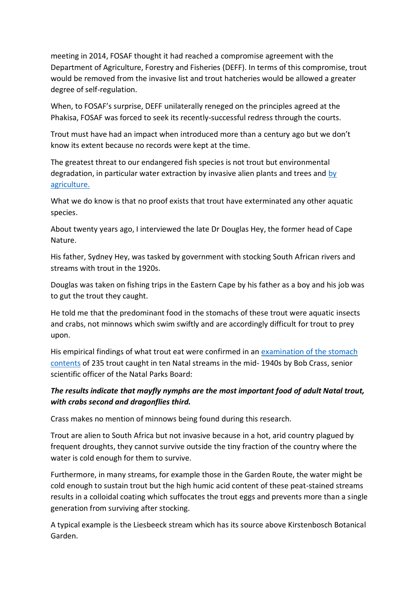meeting in 2014, FOSAF thought it had reached a compromise agreement with the Department of Agriculture, Forestry and Fisheries (DEFF). In terms of this compromise, trout would be removed from the invasive list and trout hatcheries would be allowed a greater degree of self-regulation.

When, to FOSAF's surprise, DEFF unilaterally reneged on the principles agreed at the Phakisa, FOSAF was forced to seek its recently-successful redress through the courts.

Trout must have had an impact when introduced more than a century ago but we don't know its extent because no records were kept at the time.

The greatest threat to our endangered fish species is not trout but environmental degradation, in particular water extraction [by](https://www.piscator.co.za/CPS2/trout-and-the-farmer/) invasive alien plants and trees and by [agriculture.](https://www.piscator.co.za/CPS2/trout-and-the-farmer/)

What we do know is that no proof exists that trout have exterminated any other aquatic species.

About twenty years ago, I interviewed the late Dr Douglas Hey, the former head of Cape Nature.

His father, Sydney Hey, was tasked by government with stocking South African rivers and streams with trout in the 1920s.

Douglas was taken on fishing trips in the Eastern Cape by his father as a boy and his job was to gut the trout they caught.

He told me that the predominant food in the stomachs of these trout were aquatic insects and crabs, not minnows which swim swiftly and are accordingly difficult for trout to prey upon.

His empirical findings of what trout eat were confirmed in an [examination of the stomach](https://www.piscator.co.za/CPS2/wp-content/uploads/2016/12/Bob-Crass-Article.pdf)  [contents](https://www.piscator.co.za/CPS2/wp-content/uploads/2016/12/Bob-Crass-Article.pdf) of 235 trout caught in ten Natal streams in the mid- 1940s by Bob Crass, senior scientific officer of the Natal Parks Board:

# *The results indicate that mayfly nymphs are the most important food of adult Natal trout, with crabs second and dragonflies third.*

Crass makes no mention of minnows being found during this research.

Trout are alien to South Africa but not invasive because in a hot, arid country plagued by frequent droughts, they cannot survive outside the tiny fraction of the country where the water is cold enough for them to survive.

Furthermore, in many streams, for example those in the Garden Route, the water might be cold enough to sustain trout but the high humic acid content of these peat-stained streams results in a colloidal coating which suffocates the trout eggs and prevents more than a single generation from surviving after stocking.

A typical example is the Liesbeeck stream which has its source above Kirstenbosch Botanical Garden.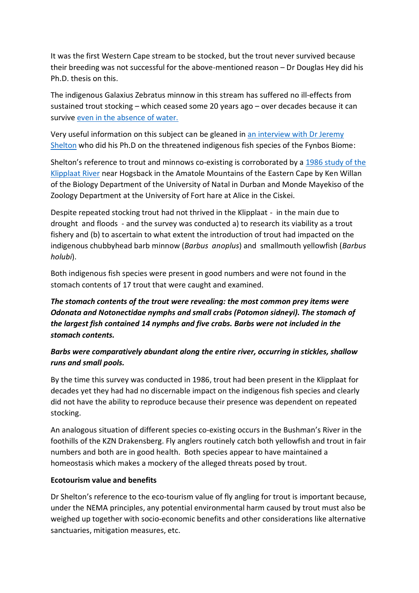It was the first Western Cape stream to be stocked, but the trout never survived because their breeding was not successful for the above-mentioned reason – Dr Douglas Hey did his Ph.D. thesis on this.

The indigenous Galaxius Zebratus minnow in this stream has suffered no ill-effects from sustained trout stocking – which ceased some 20 years ago – over decades because it can survive [even in the absence of water.](https://select.timeslive.co.za/news/2018-04-18-fish-have-prepared-for-cape-drought-for-millions-of-years/)

Very useful information on this subject can be gleaned in [an interview with Dr Jeremy](https://issuu.com/themissionflymagazine/docs/the_mission_issue_29_web/s/13277196)  [Shelton](https://issuu.com/themissionflymagazine/docs/the_mission_issue_29_web/s/13277196) who did his Ph.D on the threatened indigenous fish species of the Fynbos Biome:

Shelton's reference to trout and minnows co-existing is corroborated by a 1986 [study of the](https://www.piscator.co.za/CPS2/wp-content/uploads/2018/06/2.-Trout-in-the-Klipplaat-Ken-Willan-Monde-Mayekiso-1987.pdf)  [Klipplaat River](https://www.piscator.co.za/CPS2/wp-content/uploads/2018/06/2.-Trout-in-the-Klipplaat-Ken-Willan-Monde-Mayekiso-1987.pdf) near Hogsback in the Amatole Mountains of the Eastern Cape by Ken Willan of the Biology Department of the University of Natal in Durban and Monde Mayekiso of the Zoology Department at the University of Fort hare at Alice in the Ciskei.

Despite repeated stocking trout had not thrived in the Klipplaat - in the main due to drought and floods - and the survey was conducted a) to research its viability as a trout fishery and (b) to ascertain to what extent the introduction of trout had impacted on the indigenous chubbyhead barb minnow (*Barbus anoplus*) and smallmouth yellowfish (*Barbus holubi*).

Both indigenous fish species were present in good numbers and were not found in the stomach contents of 17 trout that were caught and examined.

*The stomach contents of the trout were revealing: the most common prey items were Odonata and Notonectidae nymphs and small crabs (Potomon sidneyi). The stomach of the largest fish contained 14 nymphs and five crabs. Barbs were not included in the stomach contents.*

### *Barbs were comparatively abundant along the entire river, occurring in stickles, shallow runs and small pools.*

By the time this survey was conducted in 1986, trout had been present in the Klipplaat for decades yet they had had no discernable impact on the indigenous fish species and clearly did not have the ability to reproduce because their presence was dependent on repeated stocking.

An analogous situation of different species co-existing occurs in the Bushman's River in the foothills of the KZN Drakensberg. Fly anglers routinely catch both yellowfish and trout in fair numbers and both are in good health. Both species appear to have maintained a homeostasis which makes a mockery of the alleged threats posed by trout.

#### **Ecotourism value and benefits**

Dr Shelton's reference to the eco-tourism value of fly angling for trout is important because, under the NEMA principles, any potential environmental harm caused by trout must also be weighed up together with socio-economic benefits and other considerations like alternative sanctuaries, mitigation measures, etc.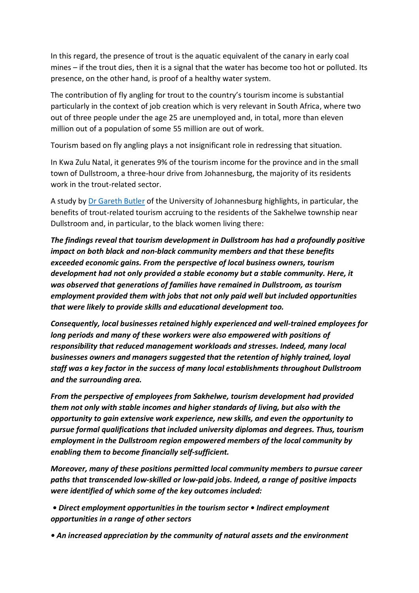In this regard, the presence of trout is the aquatic equivalent of the canary in early coal mines – if the trout dies, then it is a signal that the water has become too hot or polluted. Its presence, on the other hand, is proof of a healthy water system.

The contribution of fly angling for trout to the country's tourism income is substantial particularly in the context of job creation which is very relevant in South Africa, where two out of three people under the age 25 are unemployed and, in total, more than eleven million out of a population of some 55 million are out of work.

Tourism based on fly angling plays a not insignificant role in redressing that situation.

In Kwa Zulu Natal, it generates 9% of the tourism income for the province and in the small town of Dullstroom, a three-hour drive from Johannesburg, the majority of its residents work in the trout-related sector.

A study by [Dr Gareth Butler](https://www.fosaf.co.za/tourist) of the University of Johannesburg highlights, in particular, the benefits of trout-related tourism accruing to the residents of the Sakhelwe township near Dullstroom and, in particular, to the black women living there:

*The findings reveal that tourism development in Dullstroom has had a profoundly positive impact on both black and non‐black community members and that these benefits exceeded economic gains. From the perspective of local business owners, tourism development had not only provided a stable economy but a stable community. Here, it was observed that generations of families have remained in Dullstroom, as tourism employment provided them with jobs that not only paid well but included opportunities that were likely to provide skills and educational development too.* 

*Consequently, local businesses retained highly experienced and well‐trained employees for long periods and many of these workers were also empowered with positions of responsibility that reduced management workloads and stresses. Indeed, many local businesses owners and managers suggested that the retention of highly trained, loyal staff was a key factor in the success of many local establishments throughout Dullstroom and the surrounding area.* 

*From the perspective of employees from Sakhelwe, tourism development had provided them not only with stable incomes and higher standards of living, but also with the opportunity to gain extensive work experience, new skills, and even the opportunity to pursue formal qualifications that included university diplomas and degrees. Thus, tourism employment in the Dullstroom region empowered members of the local community by enabling them to become financially self‐sufficient.* 

*Moreover, many of these positions permitted local community members to pursue career paths that transcended low‐skilled or low‐paid jobs. Indeed, a range of positive impacts were identified of which some of the key outcomes included:*

*• Direct employment opportunities in the tourism sector • Indirect employment opportunities in a range of other sectors*

*• An increased appreciation by the community of natural assets and the environment*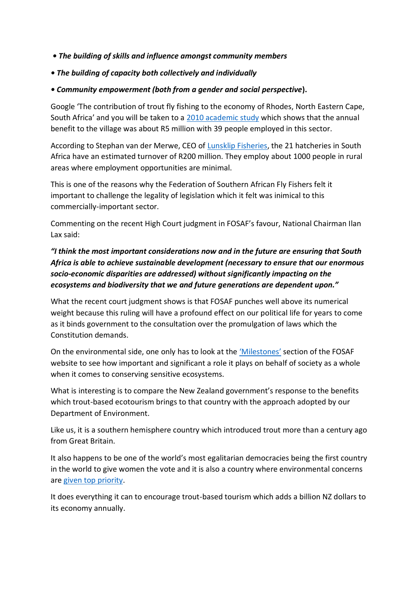- *The building of skills and influence amongst community members*
- *The building of capacity both collectively and individually*
- *Community empowerment (both from a gender and social perspective***).**

Google 'The contribution of trout fly fishing to the economy of Rhodes, North Eastern Cape, South Africa' and you will be taken to a [2010 academic study](https://www.researchgate.net/publication/227611296_The_contribution_of_trout_fly_fishing_to_the_economy_of_Rhodes_North_Eastern_Cape_South_Africa) which shows that the annual benefit to the village was about R5 million with 39 people employed in this sector.

According to Stephan van der Merwe, CEO of [Lunsklip Fisheries,](https://www.lunsklipfisheries.co.za/) the 21 hatcheries in South Africa have an estimated turnover of R200 million. They employ about 1000 people in rural areas where employment opportunities are minimal.

This is one of the reasons why the Federation of Southern African Fly Fishers felt it important to challenge the legality of legislation which it felt was inimical to this commercially-important sector.

Commenting on the recent High Court judgment in FOSAF's favour, National Chairman Ilan Lax said:

# *"I think the most important considerations now and in the future are ensuring that South Africa is able to achieve sustainable development (necessary to ensure that our enormous socio-economic disparities are addressed) without significantly impacting on the ecosystems and biodiversity that we and future generations are dependent upon."*

What the recent court judgment shows is that FOSAF punches well above its numerical weight because this ruling will have a profound effect on our political life for years to come as it binds government to the consultation over the promulgation of laws which the Constitution demands.

On the environmental side, one only has to look at the ['Milestones'](https://www.fosaf.org.za/milestones.php) section of the FOSAF website to see how important and significant a role it plays on behalf of society as a whole when it comes to conserving sensitive ecosystems.

What is interesting is to compare the New Zealand government's response to the benefits which trout-based ecotourism brings to that country with the approach adopted by our Department of Environment.

Like us, it is a southern hemisphere country which introduced trout more than a century ago from Great Britain.

It also happens to be one of the world's most egalitarian democracies being the first country in the world to give women the vote and it is also a country where environmental concerns are [given top](https://www.bbc.com/news/business-56728381) priority.

It does everything it can to encourage trout-based tourism which adds a billion NZ dollars to its economy annually.